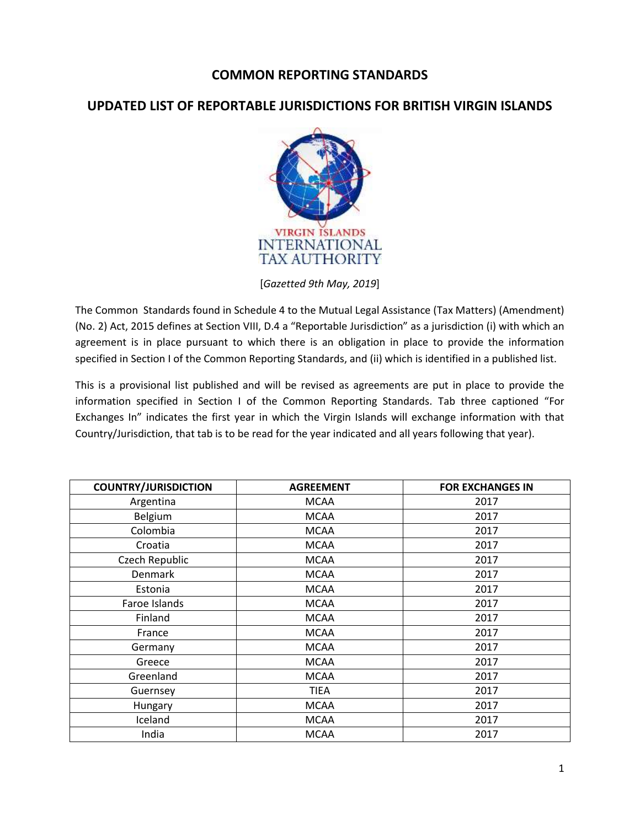## **COMMON REPORTING STANDARDS**

## **UPDATED LIST OF REPORTABLE JURISDICTIONS FOR BRITISH VIRGIN ISLANDS**



[*Gazetted 9th May, 2019*]

The Common Standards found in Schedule 4 to the Mutual Legal Assistance (Tax Matters) (Amendment) (No. 2) Act, 2015 defines at Section VIII, D.4 a "Reportable Jurisdiction" as a jurisdiction (i) with which an agreement is in place pursuant to which there is an obligation in place to provide the information specified in Section I of the Common Reporting Standards, and (ii) which is identified in a published list.

This is a provisional list published and will be revised as agreements are put in place to provide the information specified in Section I of the Common Reporting Standards. Tab three captioned "For Exchanges In" indicates the first year in which the Virgin Islands will exchange information with that Country/Jurisdiction, that tab is to be read for the year indicated and all years following that year).

| <b>COUNTRY/JURISDICTION</b> | <b>AGREEMENT</b> | <b>FOR EXCHANGES IN</b> |
|-----------------------------|------------------|-------------------------|
| Argentina                   | <b>MCAA</b>      | 2017                    |
| Belgium                     | <b>MCAA</b>      | 2017                    |
| Colombia                    | <b>MCAA</b>      | 2017                    |
| Croatia                     | <b>MCAA</b>      | 2017                    |
| Czech Republic              | <b>MCAA</b>      | 2017                    |
| <b>Denmark</b>              | <b>MCAA</b>      | 2017                    |
| Estonia                     | <b>MCAA</b>      | 2017                    |
| Faroe Islands               | <b>MCAA</b>      | 2017                    |
| Finland                     | <b>MCAA</b>      | 2017                    |
| France                      | <b>MCAA</b>      | 2017                    |
| Germany                     | <b>MCAA</b>      | 2017                    |
| Greece                      | <b>MCAA</b>      | 2017                    |
| Greenland                   | <b>MCAA</b>      | 2017                    |
| Guernsey                    | TIEA             | 2017                    |
| Hungary                     | <b>MCAA</b>      | 2017                    |
| Iceland                     | <b>MCAA</b>      | 2017                    |
| India                       | <b>MCAA</b>      | 2017                    |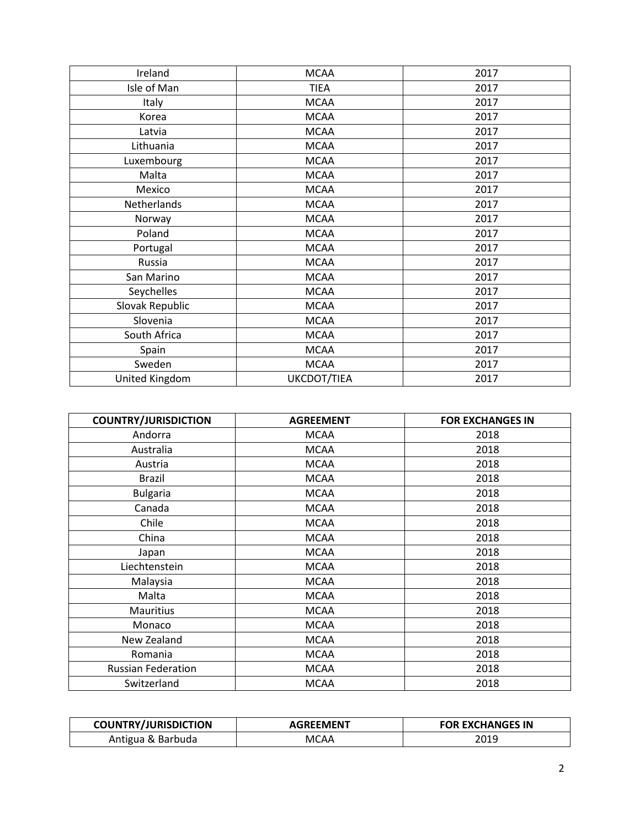| Ireland         | <b>MCAA</b> | 2017 |
|-----------------|-------------|------|
| Isle of Man     | <b>TIEA</b> | 2017 |
| Italy           | <b>MCAA</b> | 2017 |
| Korea           | <b>MCAA</b> | 2017 |
| Latvia          | <b>MCAA</b> | 2017 |
| Lithuania       | <b>MCAA</b> | 2017 |
| Luxembourg      | <b>MCAA</b> | 2017 |
| Malta           | <b>MCAA</b> | 2017 |
| Mexico          | <b>MCAA</b> | 2017 |
| Netherlands     | <b>MCAA</b> | 2017 |
| Norway          | <b>MCAA</b> | 2017 |
| Poland          | <b>MCAA</b> | 2017 |
| Portugal        | <b>MCAA</b> | 2017 |
| Russia          | <b>MCAA</b> | 2017 |
| San Marino      | <b>MCAA</b> | 2017 |
| Seychelles      | <b>MCAA</b> | 2017 |
| Slovak Republic | <b>MCAA</b> | 2017 |
| Slovenia        | <b>MCAA</b> | 2017 |
| South Africa    | <b>MCAA</b> | 2017 |
| Spain           | <b>MCAA</b> | 2017 |
| Sweden          | <b>MCAA</b> | 2017 |
| United Kingdom  | UKCDOT/TIEA | 2017 |

| <b>COUNTRY/JURISDICTION</b> | <b>AGREEMENT</b> | <b>FOR EXCHANGES IN</b> |
|-----------------------------|------------------|-------------------------|
| Andorra                     | <b>MCAA</b>      | 2018                    |
| Australia                   | <b>MCAA</b>      | 2018                    |
| Austria                     | <b>MCAA</b>      | 2018                    |
| <b>Brazil</b>               | <b>MCAA</b>      | 2018                    |
| <b>Bulgaria</b>             | <b>MCAA</b>      | 2018                    |
| Canada                      | <b>MCAA</b>      | 2018                    |
| Chile                       | <b>MCAA</b>      | 2018                    |
| China                       | <b>MCAA</b>      | 2018                    |
| Japan                       | <b>MCAA</b>      | 2018                    |
| Liechtenstein               | <b>MCAA</b>      | 2018                    |
| Malaysia                    | <b>MCAA</b>      | 2018                    |
| Malta                       | <b>MCAA</b>      | 2018                    |
| <b>Mauritius</b>            | <b>MCAA</b>      | 2018                    |
| Monaco                      | <b>MCAA</b>      | 2018                    |
| New Zealand                 | <b>MCAA</b>      | 2018                    |
| Romania                     | <b>MCAA</b>      | 2018                    |
| <b>Russian Federation</b>   | <b>MCAA</b>      | 2018                    |
| Switzerland                 | <b>MCAA</b>      | 2018                    |

| <b>COUNTRY/JURISDICTION</b> | <b>AGREEMENT</b> | <b>FOR EXCHANGES IN</b> |
|-----------------------------|------------------|-------------------------|
| Antigua & Barbuda           | MCAA             | 2019                    |